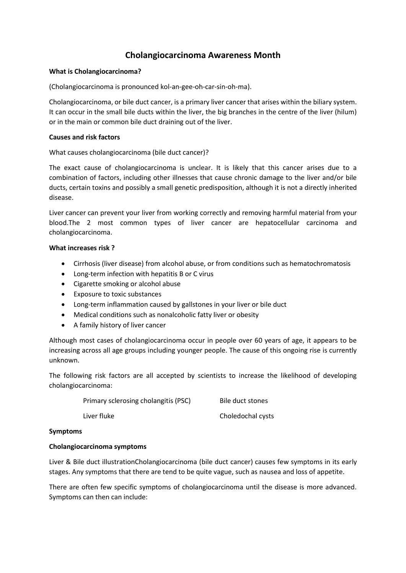# **Cholangiocarcinoma Awareness Month**

#### **What is Cholangiocarcinoma?**

(Cholangiocarcinoma is pronounced kol-an-gee-oh-car-sin-oh-ma).

Cholangiocarcinoma, or bile duct cancer, is a primary liver cancer that arises within the biliary system. It can occur in the small bile ducts within the liver, the big branches in the centre of the liver (hilum) or in the main or common bile duct draining out of the liver.

#### **Causes and risk factors**

What causes cholangiocarcinoma (bile duct cancer)?

The exact cause of cholangiocarcinoma is unclear. It is likely that this cancer arises due to a combination of factors, including other illnesses that cause chronic damage to the liver and/or bile ducts, certain toxins and possibly a small genetic predisposition, although it is not a directly inherited disease.

Liver cancer can prevent your liver from working correctly and removing harmful material from your blood.The 2 most common types of liver cancer are hepatocellular carcinoma and cholangiocarcinoma.

#### **What increases risk ?**

- Cirrhosis (liver disease) from alcohol abuse, or from conditions such as hematochromatosis
- Long-term infection with hepatitis B or C virus
- Cigarette smoking or alcohol abuse
- Exposure to toxic substances
- Long-term inflammation caused by gallstones in your liver or bile duct
- Medical conditions such as nonalcoholic fatty liver or obesity
- A family history of liver cancer

Although most cases of cholangiocarcinoma occur in people over 60 years of age, it appears to be increasing across all age groups including younger people. The cause of this ongoing rise is currently unknown.

The following risk factors are all accepted by scientists to increase the likelihood of developing cholangiocarcinoma:

> Primary sclerosing cholangitis (PSC) Bile duct stones Liver fluke Choledochal cysts

#### **Symptoms**

#### **Cholangiocarcinoma symptoms**

Liver & Bile duct illustrationCholangiocarcinoma (bile duct cancer) causes few symptoms in its early stages. Any symptoms that there are tend to be quite vague, such as nausea and loss of appetite.

There are often few specific symptoms of cholangiocarcinoma until the disease is more advanced. Symptoms can then can include: